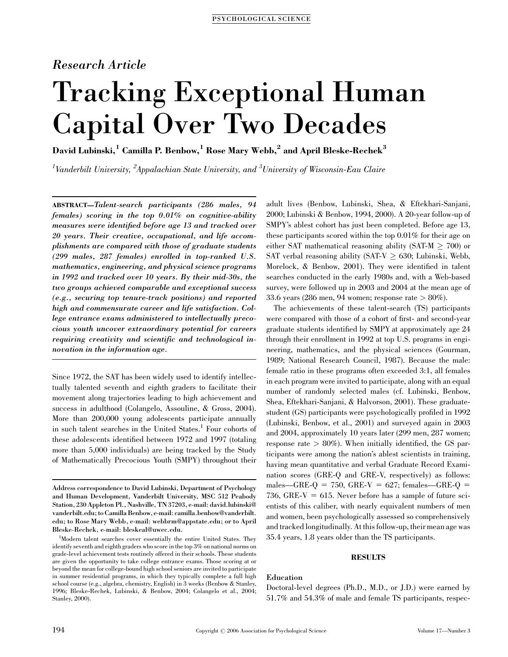# Research Article

# Tracking Exceptional Human Capital Over Two Decades

David Lubinski,<sup>1</sup> Camilla P. Benbow,<sup>1</sup> Rose Mary Webb,<sup>2</sup> and April Bleske-Rechek<sup>3</sup>

 $^1$ Vanderbilt University,  $^2$ Appalachian State University, and  $^3$ University of Wisconsin-Eau Claire

ABSTRACT—Talent-search participants (286 males, 94 females) scoring in the top 0.01% on cognitive-ability measures were identified before age 13 and tracked over 20 years. Their creative, occupational, and life accomplishments are compared with those of graduate students (299 males, 287 females) enrolled in top-ranked U.S. mathematics, engineering, and physical science programs in 1992 and tracked over 10 years. By their mid-30s, the two groups achieved comparable and exceptional success (e.g., securing top tenure-track positions) and reported high and commensurate career and life satisfaction. College entrance exams administered to intellectually precocious youth uncover extraordinary potential for careers requiring creativity and scientific and technological innovation in the information age.

Since 1972, the SAT has been widely used to identify intellectually talented seventh and eighth graders to facilitate their movement along trajectories leading to high achievement and success in adulthood (Colangelo, Assouline, & Gross, 2004). More than 200,000 young adolescents participate annually in such talent searches in the United States.<sup>1</sup> Four cohorts of these adolescents identified between 1972 and 1997 (totaling more than 5,000 individuals) are being tracked by the Study of Mathematically Precocious Youth (SMPY) throughout their adult lives (Benbow, Lubinski, Shea, & Eftekhari-Sanjani, 2000; Lubinski & Benbow, 1994, 2000). A 20-year follow-up of SMPY's ablest cohort has just been completed. Before age 13, these participants scored within the top 0.01% for their age on either SAT mathematical reasoning ability (SAT-M  $\geq$  700) or SAT verbal reasoning ability (SAT-V  $\geq$  630; Lubinski, Webb, Morelock, & Benbow, 2001). They were identified in talent searches conducted in the early 1980s and, with a Web-based survey, were followed up in 2003 and 2004 at the mean age of 33.6 years (286 men, 94 women; response rate > 80%).

The achievements of these talent-search (TS) participants were compared with those of a cohort of first- and second-year graduate students identified by SMPY at approximately age 24 through their enrollment in 1992 at top U.S. programs in engineering, mathematics, and the physical sciences (Gourman, 1989; National Research Council, 1987). Because the male: female ratio in these programs often exceeded 3:1, all females in each program were invited to participate, along with an equal number of randomly selected males (cf. Lubinski, Benbow, Shea, Eftekhari-Sanjani, & Halvorson, 2001). These graduatestudent (GS) participants were psychologically profiled in 1992 (Lubinski, Benbow, et al., 2001) and surveyed again in 2003 and 2004, approximately 10 years later (299 men, 287 women; response rate  $> 80\%$ ). When initially identified, the GS participants were among the nation's ablest scientists in training, having mean quantitative and verbal Graduate Record Examination scores (GRE-Q and GRE-V, respectively) as follows: males—GRE-Q = 750, GRE-V = 627; females—GRE-Q = 736, GRE-V = 615. Never before has a sample of future scientists of this caliber, with nearly equivalent numbers of men and women, been psychologically assessed so comprehensively and tracked longitudinally. At this follow-up, their mean age was 35.4 years, 1.8 years older than the TS participants.

# RESULTS

# Education

Doctoral-level degrees (Ph.D., M.D., or J.D.) were earned by 51.7% and 54.3% of male and female TS participants, respec-

Address correspondence to David Lubinski, Department of Psychology and Human Development, Vanderbilt University, MSC 512 Peabody Station, 230 Appleton Pl., Nashville, TN 37203, e-mail: david.lubinski@ vanderbilt.edu; to Camilla Benbow, e-mail: camilla.benbow@vanderbilt. edu; to Rose Mary Webb, e-mail: webbrm@appstate.edu; or to April Bleske-Rechek, e-mail: bleskeal@uwec.edu.

<sup>&</sup>lt;sup>1</sup>Modern talent searches cover essentially the entire United States. They identify seventh and eighth graders who score in the top 3% on national norms on grade-level achievement tests routinely offered in their schools. These students are given the opportunity to take college entrance exams. Those scoring at or beyond the mean for college-bound high school seniors are invited to participate in summer residential programs, in which they typically complete a full high school course (e.g., algebra, chemistry, English) in 3 weeks (Benbow & Stanley, 1996; Bleske-Rechek, Lubinski, & Benbow, 2004; Colangelo et al., 2004; Stanley, 2000).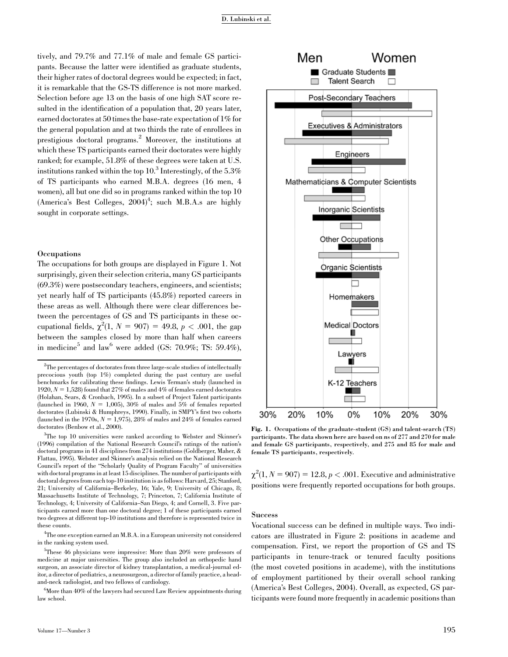tively, and 79.7% and 77.1% of male and female GS participants. Because the latter were identified as graduate students, their higher rates of doctoral degrees would be expected; in fact, it is remarkable that the GS-TS difference is not more marked. Selection before age 13 on the basis of one high SAT score resulted in the identification of a population that, 20 years later, earned doctorates at 50 times the base-rate expectation of 1% for the general population and at two thirds the rate of enrollees in prestigious doctoral programs.<sup>2</sup> Moreover, the institutions at which these TS participants earned their doctorates were highly ranked; for example, 51.8% of these degrees were taken at U.S. institutions ranked within the top  $10<sup>3</sup>$  Interestingly, of the 5.3% of TS participants who earned M.B.A. degrees (16 men, 4 women), all but one did so in programs ranked within the top 10 (America's Best Colleges,  $2004)^4$ ; such M.B.A.s are highly sought in corporate settings.

# Occupations

The occupations for both groups are displayed in Figure 1. Not surprisingly, given their selection criteria, many GS participants (69.3%) were postsecondary teachers, engineers, and scientists; yet nearly half of TS participants (45.8%) reported careers in these areas as well. Although there were clear differences between the percentages of GS and TS participants in these occupational fields,  $\chi^2(1, N = 907) = 49.8, p < .001$ , the gap between the samples closed by more than half when careers in medicine<sup>5</sup> and law<sup>6</sup> were added (GS: 70.9%; TS: 59.4%),

 $2$ The percentages of doctorates from three large-scale studies of intellectually precocious youth (top 1%) completed during the past century are useful benchmarks for calibrating these findings. Lewis Terman's study (launched in 1920,  $N = 1,528$ ) found that 27% of males and 4% of females earned doctorates (Holahan, Sears, & Cronbach, 1995). In a subset of Project Talent participants (launched in 1960,  $N = 1,005$ ), 30% of males and 5% of females reported doctorates (Lubinski & Humphreys, 1990). Finally, in SMPY's first two cohorts (launched in the 1970s,  $N = 1.975$ ), 28% of males and 24% of females earned doctorates (Benbow et al., 2000).

<sup>3</sup>The top 10 universities were ranked according to Webster and Skinner's (1996) compilation of the National Research Council's ratings of the nation's doctoral programs in 41 disciplines from 274 institutions (Goldberger, Maher, & Flattau, 1995). Webster and Skinner's analysis relied on the National Research Council's report of the ''Scholarly Quality of Program Faculty'' of universities with doctoral programs in at least 15 disciplines. The number of participants with doctoral degrees from each top-10 institution is as follows: Harvard, 25; Stanford, 21; University of California–Berkeley, 16; Yale, 9; University of Chicago, 8; Massachusetts Institute of Technology, 7; Princeton, 7; California Institute of Technology, 4; University of California–San Diego, 4; and Cornell, 3. Five participants earned more than one doctoral degree; 1 of these participants earned two degrees at different top-10 institutions and therefore is represented twice in these counts.

4 The one exception earned an M.B.A. in a European university not considered in the ranking system used.

5 These 46 physicians were impressive: More than 20% were professors of medicine at major universities. The group also included an orthopedic hand surgeon, an associate director of kidney transplantation, a medical-journal editor, a director of pediatrics, a neurosurgeon, a director of family practice, a headand-neck radiologist, and two fellows of cardiology.

 $^6$ More than 40% of the lawyers had secured Law Review appointments during law school.



Fig. 1. Occupations of the graduate-student (GS) and talent-search (TS) participants. The data shown here are based on ns of 277 and 270 for male and female GS participants, respectively, and 275 and 85 for male and female TS participants, respectively.

 $\chi^2(1, N = 907) = 12.8, p < .001$ . Executive and administrative positions were frequently reported occupations for both groups.

#### **Success**

Vocational success can be defined in multiple ways. Two indicators are illustrated in Figure 2: positions in academe and compensation. First, we report the proportion of GS and TS participants in tenure-track or tenured faculty positions (the most coveted positions in academe), with the institutions of employment partitioned by their overall school ranking (America's Best Colleges, 2004). Overall, as expected, GS participants were found more frequently in academic positions than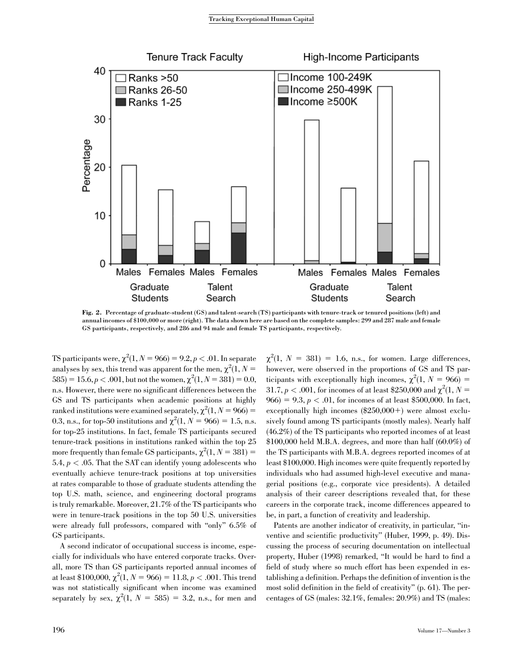

Fig. 2. Percentage of graduate-student (GS) and talent-search (TS) participants with tenure-track or tenured positions (left) and annual incomes of \$100,000 or more (right). The data shown here are based on the complete samples: 299 and 287 male and female GS participants, respectively, and 286 and 94 male and female TS participants, respectively.

TS participants were,  $\chi^2(1, N = 966) = 9.2, p < .01$ . In separate analyses by sex, this trend was apparent for the men,  $\chi^2(1, N =$ 585) = 15.6,  $p < .001$ , but not the women,  $\chi^2(1, N = 381) = 0.0$ , n.s. However, there were no significant differences between the GS and TS participants when academic positions at highly ranked institutions were examined separately,  $\chi^2(1, N = 966) =$ 0.3, n.s., for top-50 institutions and  $\chi^2(1, N = 966) = 1.5$ , n.s. for top-25 institutions. In fact, female TS participants secured tenure-track positions in institutions ranked within the top 25 more frequently than female GS participants,  $\chi^2(1, N = 381)$  = 5.4,  $p < .05$ . That the SAT can identify young adolescents who eventually achieve tenure-track positions at top universities at rates comparable to those of graduate students attending the top U.S. math, science, and engineering doctoral programs is truly remarkable. Moreover, 21.7% of the TS participants who were in tenure-track positions in the top 50 U.S. universities were already full professors, compared with ''only'' 6.5% of GS participants.

A second indicator of occupational success is income, especially for individuals who have entered corporate tracks. Overall, more TS than GS participants reported annual incomes of at least \$100,000,  $\chi^2(1, N = 966) = 11.8, p < .001$ . This trend was not statistically significant when income was examined separately by sex,  $\chi^2(1, N = 585) = 3.2$ , n.s., for men and

 $\chi^2(1, N = 381) = 1.6$ , n.s., for women. Large differences, however, were observed in the proportions of GS and TS participants with exceptionally high incomes,  $\chi^2(1, N = 966)$  = 31.7,  $p < .001$ , for incomes of at least \$250,000 and  $\chi^2(1, N = 1)$  $966$  = 9.3,  $p < .01$ , for incomes of at least \$500,000. In fact, exceptionally high incomes  $(\$250,000+)$  were almost exclusively found among TS participants (mostly males). Nearly half (46.2%) of the TS participants who reported incomes of at least  $$100,000$  held M.B.A. degrees, and more than half  $(60.0\%)$  of the TS participants with M.B.A. degrees reported incomes of at least \$100,000. High incomes were quite frequently reported by individuals who had assumed high-level executive and managerial positions (e.g., corporate vice presidents). A detailed analysis of their career descriptions revealed that, for these careers in the corporate track, income differences appeared to be, in part, a function of creativity and leadership.

Patents are another indicator of creativity, in particular, ''inventive and scientific productivity'' (Huber, 1999, p. 49). Discussing the process of securing documentation on intellectual property, Huber (1998) remarked, ''It would be hard to find a field of study where so much effort has been expended in establishing a definition. Perhaps the definition of invention is the most solid definition in the field of creativity'' (p. 61). The percentages of GS (males: 32.1%, females: 20.9%) and TS (males: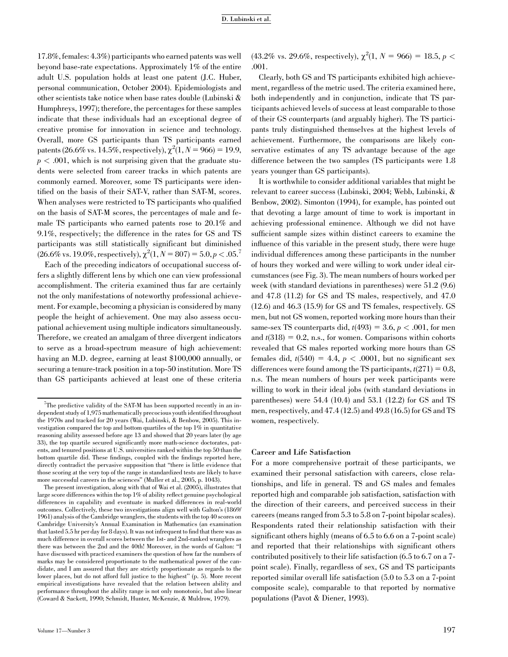17.8%, females: 4.3%) participants who earned patents was well beyond base-rate expectations. Approximately 1% of the entire adult U.S. population holds at least one patent (J.C. Huber, personal communication, October 2004). Epidemiologists and other scientists take notice when base rates double (Lubinski & Humphreys, 1997); therefore, the percentages for these samples indicate that these individuals had an exceptional degree of creative promise for innovation in science and technology. Overall, more GS participants than TS participants earned patents (26.6% vs. 14.5%, respectively),  $\chi^2(1, N = 966) = 19.9$ ,  $p < .001$ , which is not surprising given that the graduate students were selected from career tracks in which patents are commonly earned. Moreover, some TS participants were identified on the basis of their SAT-V, rather than SAT-M, scores. When analyses were restricted to TS participants who qualified on the basis of SAT-M scores, the percentages of male and female TS participants who earned patents rose to 20.1% and 9.1%, respectively; the difference in the rates for GS and TS participants was still statistically significant but diminished  $(26.6\% \text{ vs. } 19.0\%, \text{respectively}), \chi^2(1, N = 807) = 5.0, p < .05$ <sup>7</sup>

Each of the preceding indicators of occupational success offers a slightly different lens by which one can view professional accomplishment. The criteria examined thus far are certainly not the only manifestations of noteworthy professional achievement. For example, becoming a physician is considered by many people the height of achievement. One may also assess occupational achievement using multiple indicators simultaneously. Therefore, we created an amalgam of three divergent indicators to serve as a broad-spectrum measure of high achievement: having an M.D. degree, earning at least \$100,000 annually, or securing a tenure-track position in a top-50 institution. More TS than GS participants achieved at least one of these criteria

The present investigation, along with that of Wai et al. (2005), illustrates that large score differences within the top 1% of ability reflect genuine psychological differences in capability and eventuate in marked differences in real-world outcomes. Collectively, these two investigations align well with Galton's (1869/ 1961) analysis of the Cambridge wranglers, the students with the top 40 scores on Cambridge University's Annual Examination in Mathematics (an examination that lasted 5.5 hr per day for 8 days). It was not infrequent to find that there was as much difference in overall scores between the 1st- and 2nd-ranked wranglers as there was between the 2nd and the 40th! Moreover, in the words of Galton: ''I have discussed with practiced examiners the question of how far the numbers of marks may be considered proportionate to the mathematical power of the candidate, and I am assured that they are strictly proportionate as regards to the lower places, but do not afford full justice to the highest'' (p. 5). More recent empirical investigations have revealed that the relation between ability and performance throughout the ability range is not only monotonic, but also linear (Coward & Sackett, 1990; Schmidt, Hunter, McKenzie, & Muldrow, 1979).

 $(43.2\% \text{ vs. } 29.6\%, \text{ respectively}), \chi^2(1, N = 966) = 18.5, p <$ .001.

Clearly, both GS and TS participants exhibited high achievement, regardless of the metric used. The criteria examined here, both independently and in conjunction, indicate that TS participants achieved levels of success at least comparable to those of their GS counterparts (and arguably higher). The TS participants truly distinguished themselves at the highest levels of achievement. Furthermore, the comparisons are likely conservative estimates of any TS advantage because of the age difference between the two samples (TS participants were 1.8 years younger than GS participants).

It is worthwhile to consider additional variables that might be relevant to career success (Lubinski, 2004; Webb, Lubinski, & Benbow, 2002). Simonton (1994), for example, has pointed out that devoting a large amount of time to work is important in achieving professional eminence. Although we did not have sufficient sample sizes within distinct careers to examine the influence of this variable in the present study, there were huge individual differences among these participants in the number of hours they worked and were willing to work under ideal circumstances (see Fig. 3). The mean numbers of hours worked per week (with standard deviations in parentheses) were 51.2 (9.6) and 47.8 (11.2) for GS and TS males, respectively, and 47.0 (12.6) and 46.3 (15.9) for GS and TS females, respectively. GS men, but not GS women, reported working more hours than their same-sex TS counterparts did,  $t(493) = 3.6, p < .001$ , for men and  $t(318) = 0.2$ , n.s., for women. Comparisons within cohorts revealed that GS males reported working more hours than GS females did,  $t(540) = 4.4$ ,  $p < .0001$ , but no significant sex differences were found among the TS participants,  $t(271) = 0.8$ , n.s. The mean numbers of hours per week participants were willing to work in their ideal jobs (with standard deviations in parentheses) were 54.4 (10.4) and 53.1 (12.2) for GS and TS men, respectively, and 47.4 (12.5) and 49.8 (16.5) for GS and TS women, respectively.

#### Career and Life Satisfaction

For a more comprehensive portrait of these participants, we examined their personal satisfaction with careers, close relationships, and life in general. TS and GS males and females reported high and comparable job satisfaction, satisfaction with the direction of their careers, and perceived success in their careers (means ranged from 5.3 to 5.8 on 7-point bipolar scales). Respondents rated their relationship satisfaction with their significant others highly (means of 6.5 to 6.6 on a 7-point scale) and reported that their relationships with significant others contributed positively to their life satisfaction (6.5 to 6.7 on a 7 point scale). Finally, regardless of sex, GS and TS participants reported similar overall life satisfaction (5.0 to 5.3 on a 7-point composite scale), comparable to that reported by normative populations (Pavot & Diener, 1993).

<sup>&</sup>lt;sup>7</sup>The predictive validity of the SAT-M has been supported recently in an independent study of 1,975 mathematically precocious youth identified throughout the 1970s and tracked for 20 years (Wai, Lubinski, & Benbow, 2005). This investigation compared the top and bottom quartiles of the top 1% in quantitative reasoning ability assessed before age 13 and showed that 20 years later (by age 33), the top quartile secured significantly more math-science doctorates, patents, and tenured positions at U.S. universities ranked within the top 50 than the bottom quartile did. These findings, coupled with the findings reported here, directly contradict the pervasive supposition that ''there is little evidence that those scoring at the very top of the range in standardized tests are likely to have more successful careers in the sciences'' (Muller et al., 2005, p. 1043).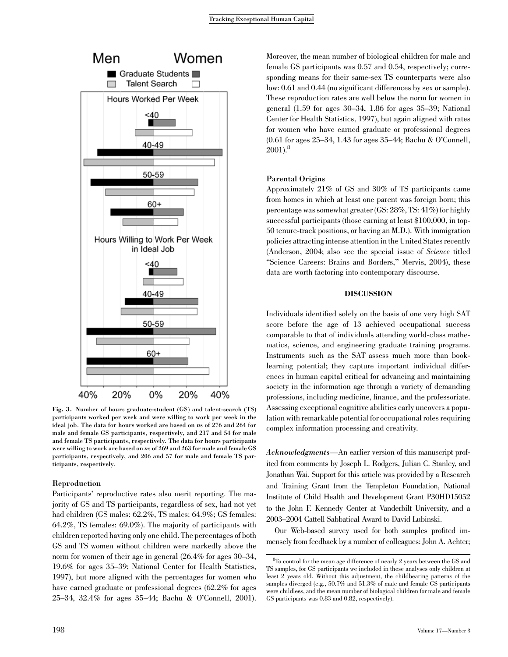

Fig. 3. Number of hours graduate-student (GS) and talent-search (TS) participants worked per week and were willing to work per week in the ideal job. The data for hours worked are based on ns of 276 and 264 for male and female GS participants, respectively, and 217 and 54 for male and female TS participants, respectively. The data for hours participants were willing to work are based on ns of 269 and 263 for male and female GS participants, respectively, and 206 and 57 for male and female TS participants, respectively.

# Reproduction

Participants' reproductive rates also merit reporting. The majority of GS and TS participants, regardless of sex, had not yet had children (GS males: 62.2%, TS males: 64.9%; GS females: 64.2%, TS females: 69.0%). The majority of participants with children reported having only one child. The percentages of both GS and TS women without children were markedly above the norm for women of their age in general (26.4% for ages 30–34, 19.6% for ages 35–39; National Center for Health Statistics, 1997), but more aligned with the percentages for women who have earned graduate or professional degrees (62.2% for ages 25–34, 32.4% for ages 35–44; Bachu & O'Connell, 2001).

Moreover, the mean number of biological children for male and female GS participants was 0.57 and 0.54, respectively; corresponding means for their same-sex TS counterparts were also low: 0.61 and 0.44 (no significant differences by sex or sample). These reproduction rates are well below the norm for women in general (1.59 for ages 30–34, 1.86 for ages 35–39; National Center for Health Statistics, 1997), but again aligned with rates for women who have earned graduate or professional degrees (0.61 for ages 25–34, 1.43 for ages 35–44; Bachu & O'Connell,  $2001$ <sup>8</sup>

# Parental Origins

Approximately 21% of GS and 30% of TS participants came from homes in which at least one parent was foreign born; this percentage was somewhat greater (GS: 28%, TS: 41%) for highly successful participants (those earning at least \$100,000, in top-50 tenure-track positions, or having an M.D.). With immigration policies attracting intense attention in the United States recently (Anderson, 2004; also see the special issue of Science titled "Science Careers: Brains and Borders," Mervis, 2004), these data are worth factoring into contemporary discourse.

# DISCUSSION

Individuals identified solely on the basis of one very high SAT score before the age of 13 achieved occupational success comparable to that of individuals attending world-class mathematics, science, and engineering graduate training programs. Instruments such as the SAT assess much more than booklearning potential; they capture important individual differences in human capital critical for advancing and maintaining society in the information age through a variety of demanding professions, including medicine, finance, and the professoriate. Assessing exceptional cognitive abilities early uncovers a population with remarkable potential for occupational roles requiring complex information processing and creativity.

Acknowledgments—An earlier version of this manuscript profited from comments by Joseph L. Rodgers, Julian C. Stanley, and Jonathan Wai. Support for this article was provided by a Research and Training Grant from the Templeton Foundation, National Institute of Child Health and Development Grant P30HD15052 to the John F. Kennedy Center at Vanderbilt University, and a 2003–2004 Cattell Sabbatical Award to David Lubinski.

Our Web-based survey used for both samples profited immensely from feedback by a number of colleagues: John A. Achter;

 ${}^{8}\mathrm{To}$  control for the mean age difference of nearly 2 years between the GS and TS samples, for GS participants we included in these analyses only children at least 2 years old. Without this adjustment, the childbearing patterns of the samples diverged (e.g., 50.7% and 51.3% of male and female GS participants were childless, and the mean number of biological children for male and female GS participants was 0.83 and 0.82, respectively).